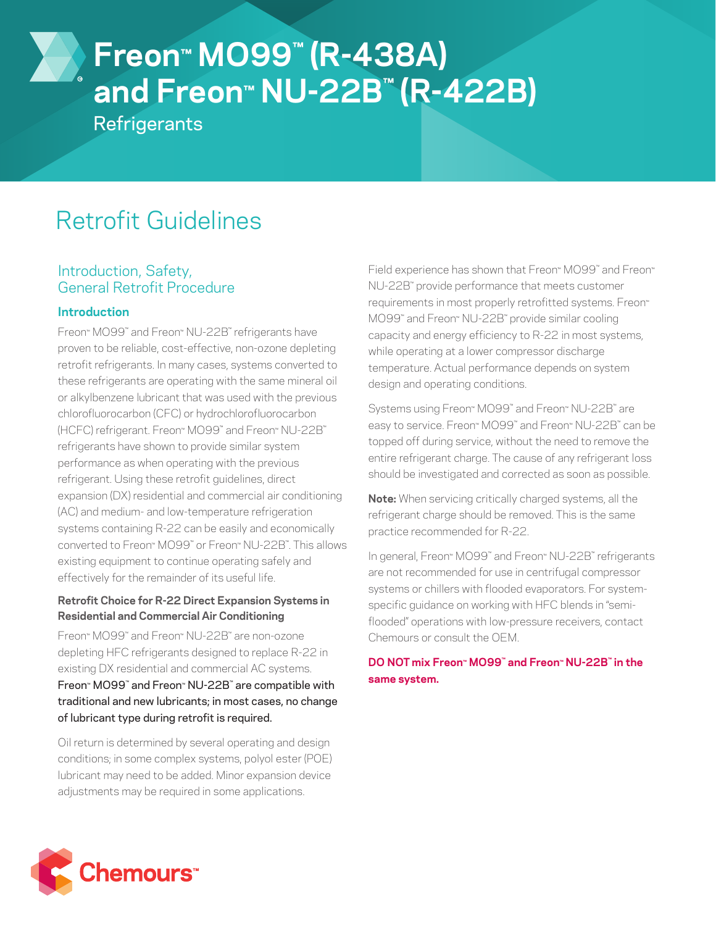# **Freon™ MO99™ (R-438A) and Freon™ NU-22B™ (R-422B)**

**Refrigerants** 

# Retrofit Guidelines

# Introduction, Safety, General Retrofit Procedure

# **Introduction**

Freon™ MO99™ and Freon™ NU-22B™ refrigerants have proven to be reliable, cost-effective, non-ozone depleting retrofit refrigerants. In many cases, systems converted to these refrigerants are operating with the same mineral oil or alkylbenzene lubricant that was used with the previous chlorofluorocarbon (CFC) or hydrochlorofluorocarbon (HCFC) refrigerant. Freon™ MO99™ and Freon™ NU-22B™ refrigerants have shown to provide similar system performance as when operating with the previous refrigerant. Using these retrofit guidelines, direct expansion (DX) residential and commercial air conditioning (AC) and medium- and low-temperature refrigeration systems containing R-22 can be easily and economically converted to Freon™ MO99™ or Freon™ NU-22B™. This allows existing equipment to continue operating safely and effectively for the remainder of its useful life.

#### **Retrofit Choice for R-22 Direct Expansion Systems in Residential and Commercial Air Conditioning**

Freon™ MO99™ and Freon™ NU-22B™ are non-ozone depleting HFC refrigerants designed to replace R-22 in existing DX residential and commercial AC systems. Freon™ MO99™ and Freon™ NU-22B™ are compatible with traditional and new lubricants; in most cases, no change of lubricant type during retrofit is required.

Oil return is determined by several operating and design conditions; in some complex systems, polyol ester (POE) lubricant may need to be added. Minor expansion device adjustments may be required in some applications.

Field experience has shown that Freon™ MO99™ and Freon™ NU-22B™ provide performance that meets customer requirements in most properly retrofitted systems. Freon™ MO99™ and Freon™ NU-22B™ provide similar cooling capacity and energy efficiency to R-22 in most systems, while operating at a lower compressor discharge temperature. Actual performance depends on system design and operating conditions.

Systems using Freon™ MO99™ and Freon™ NU-22B™ are easy to service. Freon™ MO99™ and Freon™ NU-22B™ can be topped off during service, without the need to remove the entire refrigerant charge. The cause of any refrigerant loss should be investigated and corrected as soon as possible.

**Note:** When servicing critically charged systems, all the refrigerant charge should be removed. This is the same practice recommended for R-22.

In general, Freon™ MO99™ and Freon™ NU-22B™ refrigerants are not recommended for use in centrifugal compressor systems or chillers with flooded evaporators. For systemspecific guidance on working with HFC blends in "semiflooded" operations with low-pressure receivers, contact Chemours or consult the OEM.

### **DO NOT mix Freon™ MO99™ and Freon™ NU-22B™ in the same system.**

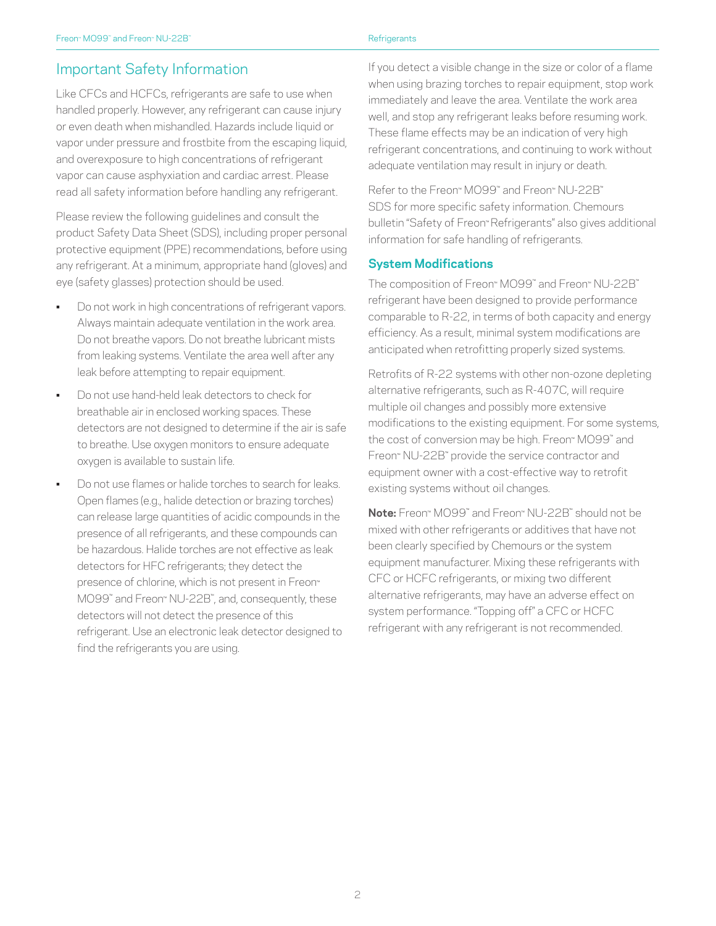# Important Safety Information

Like CFCs and HCFCs, refrigerants are safe to use when handled properly. However, any refrigerant can cause injury or even death when mishandled. Hazards include liquid or vapor under pressure and frostbite from the escaping liquid, and overexposure to high concentrations of refrigerant vapor can cause asphyxiation and cardiac arrest. Please read all safety information before handling any refrigerant.

Please review the following guidelines and consult the product Safety Data Sheet (SDS), including proper personal protective equipment (PPE) recommendations, before using any refrigerant. At a minimum, appropriate hand (gloves) and eye (safety glasses) protection should be used.

- Do not work in high concentrations of refrigerant vapors. Always maintain adequate ventilation in the work area. Do not breathe vapors. Do not breathe lubricant mists from leaking systems. Ventilate the area well after any leak before attempting to repair equipment.
- Do not use hand-held leak detectors to check for breathable air in enclosed working spaces. These detectors are not designed to determine if the air is safe to breathe. Use oxygen monitors to ensure adequate oxygen is available to sustain life.
- Do not use flames or halide torches to search for leaks. Open flames (e.g., halide detection or brazing torches) can release large quantities of acidic compounds in the presence of all refrigerants, and these compounds can be hazardous. Halide torches are not effective as leak detectors for HFC refrigerants; they detect the presence of chlorine, which is not present in Freon™ MO99™ and Freon™ NU-22B™ , and, consequently, these detectors will not detect the presence of this refrigerant. Use an electronic leak detector designed to find the refrigerants you are using.

If you detect a visible change in the size or color of a flame when using brazing torches to repair equipment, stop work immediately and leave the area. Ventilate the work area well, and stop any refrigerant leaks before resuming work. These flame effects may be an indication of very high refrigerant concentrations, and continuing to work without adequate ventilation may result in injury or death.

Refer to the Freon™ MO99™ and Freon™ NU-22B™ SDS for more specific safety information. Chemours bulletin "Safety of Freon™ Refrigerants" also gives additional information for safe handling of refrigerants.

#### **System Modifications**

The composition of Freon™ MO99™ and Freon™ NU-22B™ refrigerant have been designed to provide performance comparable to R-22, in terms of both capacity and energy efficiency. As a result, minimal system modifications are anticipated when retrofitting properly sized systems.

Retrofits of R-22 systems with other non-ozone depleting alternative refrigerants, such as R-407C, will require multiple oil changes and possibly more extensive modifications to the existing equipment. For some systems, the cost of conversion may be high. Freon™ MO99™ and Freon™ NU-22B™ provide the service contractor and equipment owner with a cost-effective way to retrofit existing systems without oil changes.

**Note:** Freon™ MO99™ and Freon™ NU-22B™ should not be mixed with other refrigerants or additives that have not been clearly specified by Chemours or the system equipment manufacturer. Mixing these refrigerants with CFC or HCFC refrigerants, or mixing two different alternative refrigerants, may have an adverse effect on system performance. "Topping off" a CFC or HCFC refrigerant with any refrigerant is not recommended.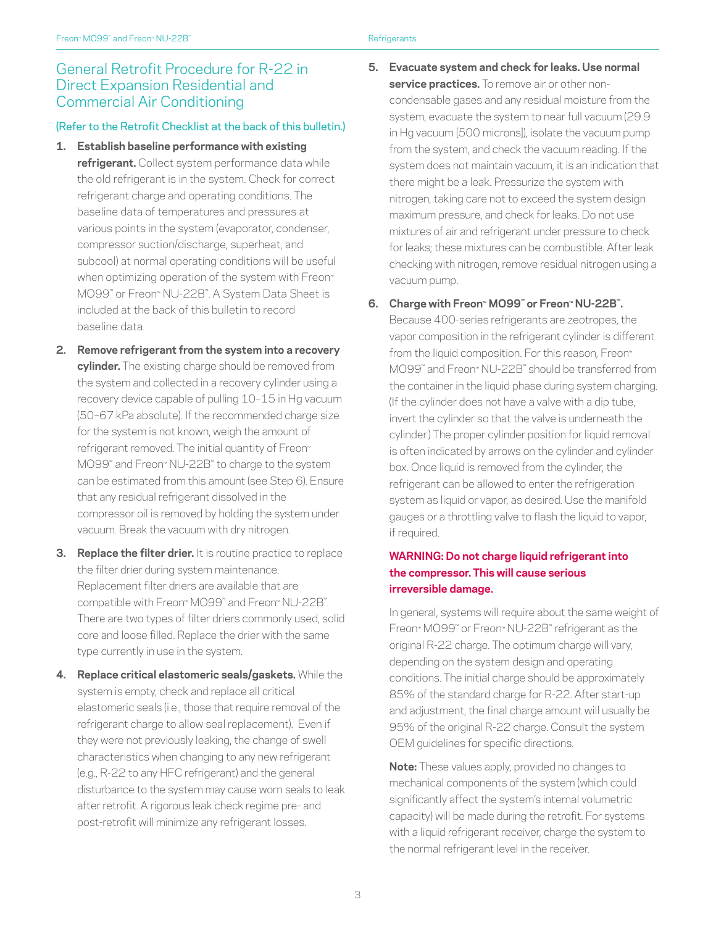# General Retrofit Procedure for R-22 in Direct Expansion Residential and Commercial Air Conditioning

#### (Refer to the Retrofit Checklist at the back of this bulletin.)

- **1. Establish baseline performance with existing refrigerant.** Collect system performance data while the old refrigerant is in the system. Check for correct refrigerant charge and operating conditions. The baseline data of temperatures and pressures at various points in the system (evaporator, condenser, compressor suction/discharge, superheat, and subcool) at normal operating conditions will be useful when optimizing operation of the system with Freon™ MO99™ or Freon™ NU-22B™ . A System Data Sheet is included at the back of this bulletin to record baseline data.
- **2. Remove refrigerant from the system into a recovery cylinder.** The existing charge should be removed from the system and collected in a recovery cylinder using a recovery device capable of pulling 10–15 in Hg vacuum (50–67 kPa absolute). If the recommended charge size for the system is not known, weigh the amount of refrigerant removed. The initial quantity of Freon™ MO99™ and Freon™ NU-22B™ to charge to the system can be estimated from this amount (see Step 6). Ensure that any residual refrigerant dissolved in the compressor oil is removed by holding the system under vacuum. Break the vacuum with dry nitrogen.
- **3. Replace the filter drier.** It is routine practice to replace the filter drier during system maintenance. Replacement filter driers are available that are compatible with Freon™ MO99™ and Freon™ NU-22B™ . There are two types of filter driers commonly used, solid core and loose filled. Replace the drier with the same type currently in use in the system.
- **4. Replace critical elastomeric seals/gaskets.** While the system is empty, check and replace all critical elastomeric seals (i.e., those that require removal of the refrigerant charge to allow seal replacement). Even if they were not previously leaking, the change of swell characteristics when changing to any new refrigerant (e.g., R-22 to any HFC refrigerant) and the general disturbance to the system may cause worn seals to leak after retrofit. A rigorous leak check regime pre- and post-retrofit will minimize any refrigerant losses.

**5. Evacuate system and check for leaks. Use normal service practices.** To remove air or other noncondensable gases and any residual moisture from the system, evacuate the system to near full vacuum (29.9 in Hg vacuum [500 microns]), isolate the vacuum pump from the system, and check the vacuum reading. If the system does not maintain vacuum, it is an indication that there might be a leak. Pressurize the system with nitrogen, taking care not to exceed the system design maximum pressure, and check for leaks. Do not use mixtures of air and refrigerant under pressure to check for leaks; these mixtures can be combustible. After leak checking with nitrogen, remove residual nitrogen using a vacuum pump.

#### **6. Charge with Freon™ MO99™ or Freon™ NU-22B™.**

Because 400-series refrigerants are zeotropes, the vapor composition in the refrigerant cylinder is different from the liquid composition. For this reason, Freon™ MO99™ and Freon™ NU-22B™ should be transferred from the container in the liquid phase during system charging. (If the cylinder does not have a valve with a dip tube, invert the cylinder so that the valve is underneath the cylinder.) The proper cylinder position for liquid removal is often indicated by arrows on the cylinder and cylinder box. Once liquid is removed from the cylinder, the refrigerant can be allowed to enter the refrigeration system as liquid or vapor, as desired. Use the manifold gauges or a throttling valve to flash the liquid to vapor, if required.

#### **WARNING: Do not charge liquid refrigerant into the compressor. This will cause serious irreversible damage.**

In general, systems will require about the same weight of Freon™ MO99™ or Freon™ NU-22B™ refrigerant as the original R-22 charge. The optimum charge will vary, depending on the system design and operating conditions. The initial charge should be approximately 85% of the standard charge for R-22. After start-up and adjustment, the final charge amount will usually be 95% of the original R-22 charge. Consult the system OEM guidelines for specific directions.

**Note:** These values apply, provided no changes to mechanical components of the system (which could significantly affect the system's internal volumetric capacity) will be made during the retrofit. For systems with a liquid refrigerant receiver, charge the system to the normal refrigerant level in the receiver.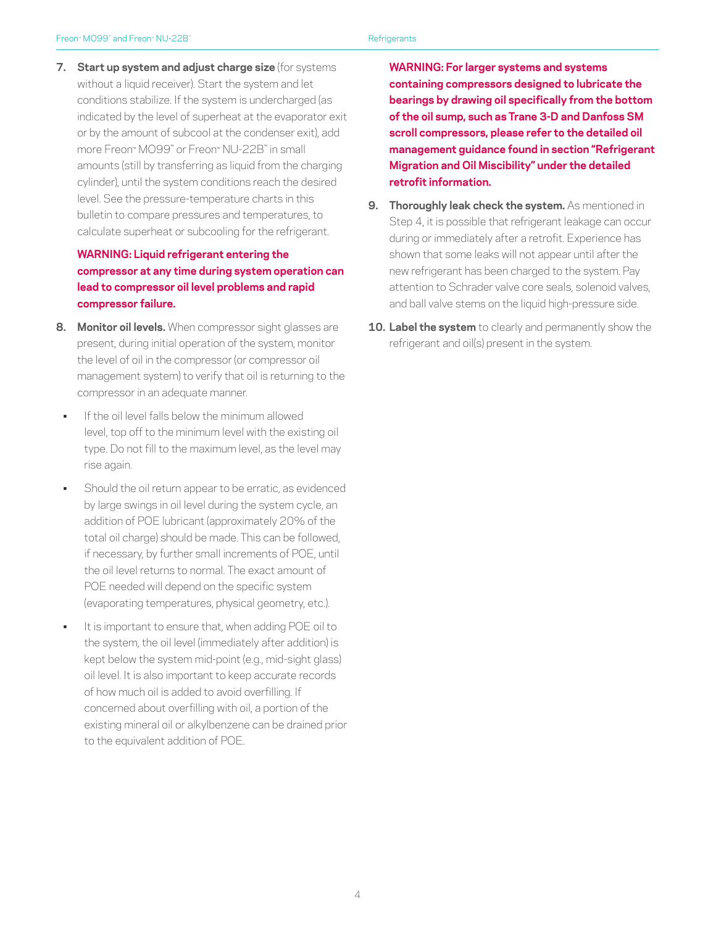**7. Start up system and adjust charge size** (for systems without a liquid receiver). Start the system and let conditions stabilize. If the system is undercharged (as indicated by the level of superheat at the evaporator exit or by the amount of subcool at the condenser exit), add more Freon™ MO99™ or Freon™ NU-22B™ in small amounts (still by transferring as liquid from the charging cylinder), until the system conditions reach the desired level. See the pressure-temperature charts in this bulletin to compare pressures and temperatures, to calculate superheat or subcooling for the refrigerant.

### **WARNING: Liquid refrigerant entering the compressor at any time during system operation can lead to compressor oil level problems and rapid compressor failure.**

- **8. Monitor oil levels.** When compressor sight glasses are present, during initial operation of the system, monitor the level of oil in the compressor (or compressor oil management system) to verify that oil is returning to the compressor in an adequate manner.
- If the oil level falls below the minimum allowed level, top off to the minimum level with the existing oil type. Do not fill to the maximum level, as the level may rise again.
- Should the oil return appear to be erratic, as evidenced by large swings in oil level during the system cycle, an addition of POE lubricant (approximately 20% of the total oil charge) should be made. This can be followed, if necessary, by further small increments of POE, until the oil level returns to normal. The exact amount of POE needed will depend on the specific system (evaporating temperatures, physical geometry, etc.).
- It is important to ensure that, when adding POE oil to the system, the oil level (immediately after addition) is kept below the system mid-point (e.g., mid-sight glass) oil level. It is also important to keep accurate records of how much oil is added to avoid overfilling. If concerned about overfilling with oil, a portion of the existing mineral oil or alkylbenzene can be drained prior to the equivalent addition of POE.

**WARNING: For larger systems and systems containing compressors designed to lubricate the bearings by drawing oil specifically from the bottom of the oil sump, such as Trane 3-D and Danfoss SM scroll compressors, please refer to the detailed oil management guidance found in section "Refrigerant Migration and Oil Miscibility" under the detailed retrofit information.**

- **9. Thoroughly leak check the system.** As mentioned in Step 4, it is possible that refrigerant leakage can occur during or immediately after a retrofit. Experience has shown that some leaks will not appear until after the new refrigerant has been charged to the system. Pay attention to Schrader valve core seals, solenoid valves, and ball valve stems on the liquid high-pressure side.
- **10. Label the system** to clearly and permanently show the refrigerant and oil(s) present in the system.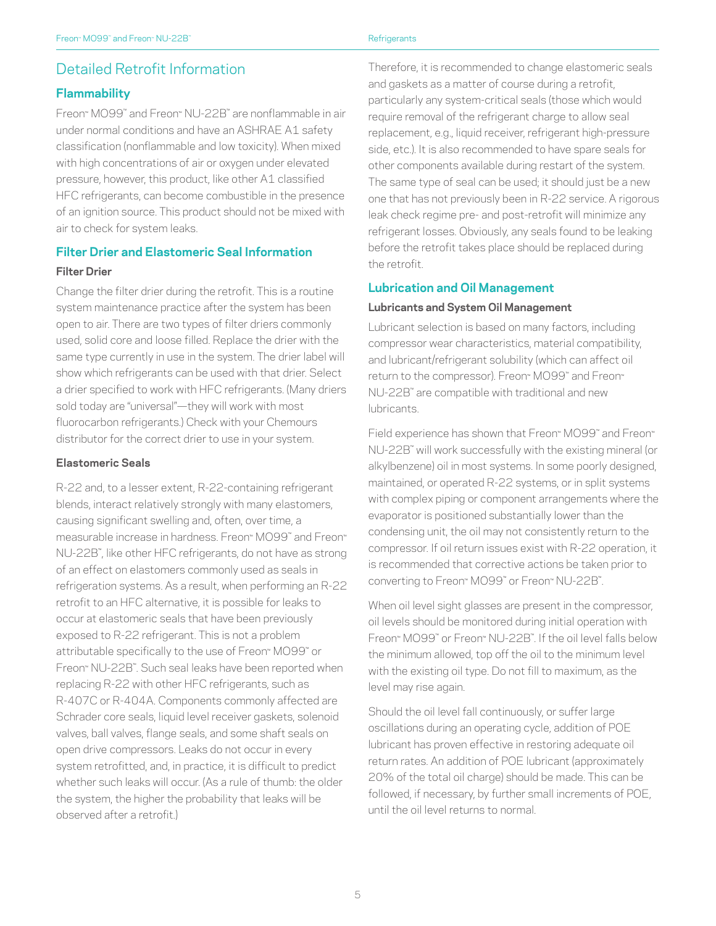# Detailed Retrofit Information

### **Flammability**

Freon™ MO99™ and Freon™ NU-22B™ are nonflammable in air under normal conditions and have an ASHRAE A1 safety classification (nonflammable and low toxicity). When mixed with high concentrations of air or oxygen under elevated pressure, however, this product, like other A1 classified HFC refrigerants, can become combustible in the presence of an ignition source. This product should not be mixed with air to check for system leaks.

# **Filter Drier and Elastomeric Seal Information**

#### **Filter Drier**

Change the filter drier during the retrofit. This is a routine system maintenance practice after the system has been open to air. There are two types of filter driers commonly used, solid core and loose filled. Replace the drier with the same type currently in use in the system. The drier label will show which refrigerants can be used with that drier. Select a drier specified to work with HFC refrigerants. (Many driers sold today are "universal"—they will work with most fluorocarbon refrigerants.) Check with your Chemours distributor for the correct drier to use in your system.

#### **Elastomeric Seals**

R-22 and, to a lesser extent, R-22-containing refrigerant blends, interact relatively strongly with many elastomers, causing significant swelling and, often, over time, a measurable increase in hardness. Freon™ MO99™ and Freon™ NU-22B™ , like other HFC refrigerants, do not have as strong of an effect on elastomers commonly used as seals in refrigeration systems. As a result, when performing an R-22 retrofit to an HFC alternative, it is possible for leaks to occur at elastomeric seals that have been previously exposed to R-22 refrigerant. This is not a problem attributable specifically to the use of Freon™ MO99™ or Freon™ NU-22B™ . Such seal leaks have been reported when replacing R-22 with other HFC refrigerants, such as R-407C or R-404A. Components commonly affected are Schrader core seals, liquid level receiver gaskets, solenoid valves, ball valves, flange seals, and some shaft seals on open drive compressors. Leaks do not occur in every system retrofitted, and, in practice, it is difficult to predict whether such leaks will occur. (As a rule of thumb: the older the system, the higher the probability that leaks will be observed after a retrofit.)

Therefore, it is recommended to change elastomeric seals and gaskets as a matter of course during a retrofit, particularly any system-critical seals (those which would require removal of the refrigerant charge to allow seal replacement, e.g., liquid receiver, refrigerant high-pressure side, etc.). It is also recommended to have spare seals for other components available during restart of the system. The same type of seal can be used; it should just be a new one that has not previously been in R-22 service. A rigorous leak check regime pre- and post-retrofit will minimize any refrigerant losses. Obviously, any seals found to be leaking before the retrofit takes place should be replaced during the retrofit.

#### **Lubrication and Oil Management**

#### **Lubricants and System Oil Management**

Lubricant selection is based on many factors, including compressor wear characteristics, material compatibility, and lubricant/refrigerant solubility (which can affect oil return to the compressor). Freon™ MO99™ and Freon™ NU-22B™ are compatible with traditional and new lubricants.

Field experience has shown that Freon™ MO99™ and Freon™ NU-22B™ will work successfully with the existing mineral (or alkylbenzene) oil in most systems. In some poorly designed, maintained, or operated R-22 systems, or in split systems with complex piping or component arrangements where the evaporator is positioned substantially lower than the condensing unit, the oil may not consistently return to the compressor. If oil return issues exist with R-22 operation, it is recommended that corrective actions be taken prior to converting to Freon™ MO99™ or Freon™ NU-22B™.

When oil level sight glasses are present in the compressor, oil levels should be monitored during initial operation with Freon™ MO99™ or Freon™ NU-22B™ . If the oil level falls below the minimum allowed, top off the oil to the minimum level with the existing oil type. Do not fill to maximum, as the level may rise again.

Should the oil level fall continuously, or suffer large oscillations during an operating cycle, addition of POE lubricant has proven effective in restoring adequate oil return rates. An addition of POE lubricant (approximately 20% of the total oil charge) should be made. This can be followed, if necessary, by further small increments of POE, until the oil level returns to normal.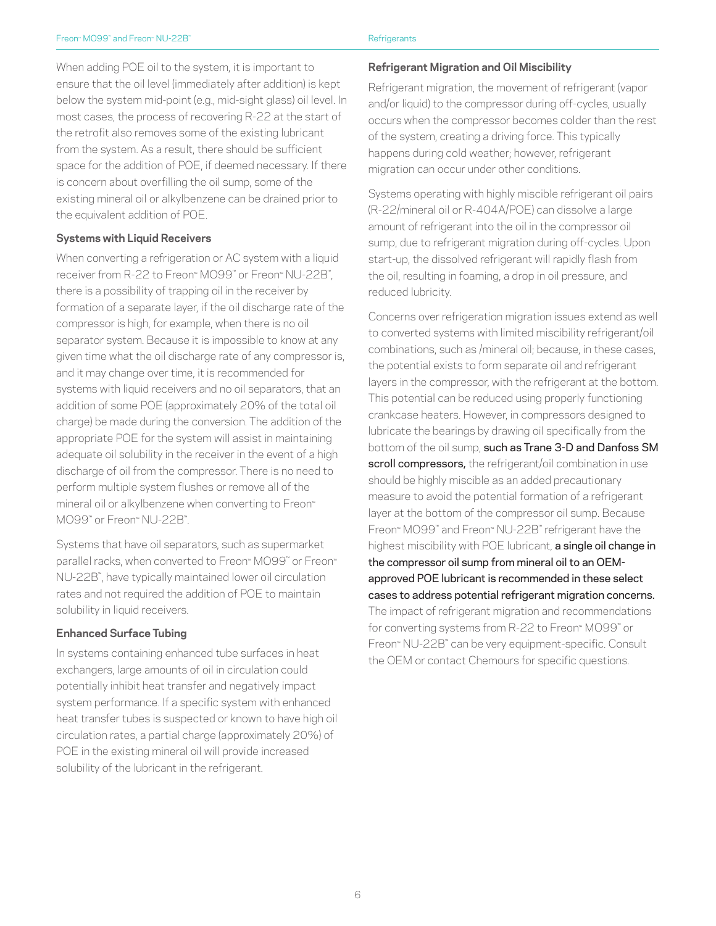When adding POE oil to the system, it is important to ensure that the oil level (immediately after addition) is kept below the system mid-point (e.g., mid-sight glass) oil level. In most cases, the process of recovering R-22 at the start of the retrofit also removes some of the existing lubricant from the system. As a result, there should be sufficient space for the addition of POE, if deemed necessary. If there is concern about overfilling the oil sump, some of the existing mineral oil or alkylbenzene can be drained prior to the equivalent addition of POE.

#### **Systems with Liquid Receivers**

When converting a refrigeration or AC system with a liquid receiver from R-22 to Freon™ MO99™ or Freon™ NU-22B™ , there is a possibility of trapping oil in the receiver by formation of a separate layer, if the oil discharge rate of the compressor is high, for example, when there is no oil separator system. Because it is impossible to know at any given time what the oil discharge rate of any compressor is, and it may change over time, it is recommended for systems with liquid receivers and no oil separators, that an addition of some POE (approximately 20% of the total oil charge) be made during the conversion. The addition of the appropriate POE for the system will assist in maintaining adequate oil solubility in the receiver in the event of a high discharge of oil from the compressor. There is no need to perform multiple system flushes or remove all of the mineral oil or alkylbenzene when converting to Freon™ MO99™ or Freon™ NU-22B™ .

Systems that have oil separators, such as supermarket parallel racks, when converted to Freon™ MO99™ or Freon™ NU-22B™ , have typically maintained lower oil circulation rates and not required the addition of POE to maintain solubility in liquid receivers.

#### **Enhanced Surface Tubing**

In systems containing enhanced tube surfaces in heat exchangers, large amounts of oil in circulation could potentially inhibit heat transfer and negatively impact system performance. If a specific system with enhanced heat transfer tubes is suspected or known to have high oil circulation rates, a partial charge (approximately 20%) of POE in the existing mineral oil will provide increased solubility of the lubricant in the refrigerant.

**Refrigerant Migration and Oil Miscibility**

Refrigerant migration, the movement of refrigerant (vapor and/or liquid) to the compressor during off-cycles, usually occurs when the compressor becomes colder than the rest of the system, creating a driving force. This typically happens during cold weather; however, refrigerant migration can occur under other conditions.

Systems operating with highly miscible refrigerant oil pairs (R-22/mineral oil or R-404A/POE) can dissolve a large amount of refrigerant into the oil in the compressor oil sump, due to refrigerant migration during off-cycles. Upon start-up, the dissolved refrigerant will rapidly flash from the oil, resulting in foaming, a drop in oil pressure, and reduced lubricity.

Concerns over refrigeration migration issues extend as well to converted systems with limited miscibility refrigerant/oil combinations, such as /mineral oil; because, in these cases, the potential exists to form separate oil and refrigerant layers in the compressor, with the refrigerant at the bottom. This potential can be reduced using properly functioning crankcase heaters. However, in compressors designed to lubricate the bearings by drawing oil specifically from the bottom of the oil sump, such as Trane 3-D and Danfoss SM scroll compressors, the refrigerant/oil combination in use should be highly miscible as an added precautionary measure to avoid the potential formation of a refrigerant layer at the bottom of the compressor oil sump. Because Freon™ MO99™ and Freon™ NU-22B™ refrigerant have the highest miscibility with POE lubricant, a single oil change in the compressor oil sump from mineral oil to an OEMapproved POE lubricant is recommended in these select cases to address potential refrigerant migration concerns. The impact of refrigerant migration and recommendations for converting systems from R-22 to Freon™ MO99™ or Freon™ NU-22B™ can be very equipment-specific. Consult the OEM or contact Chemours for specific questions.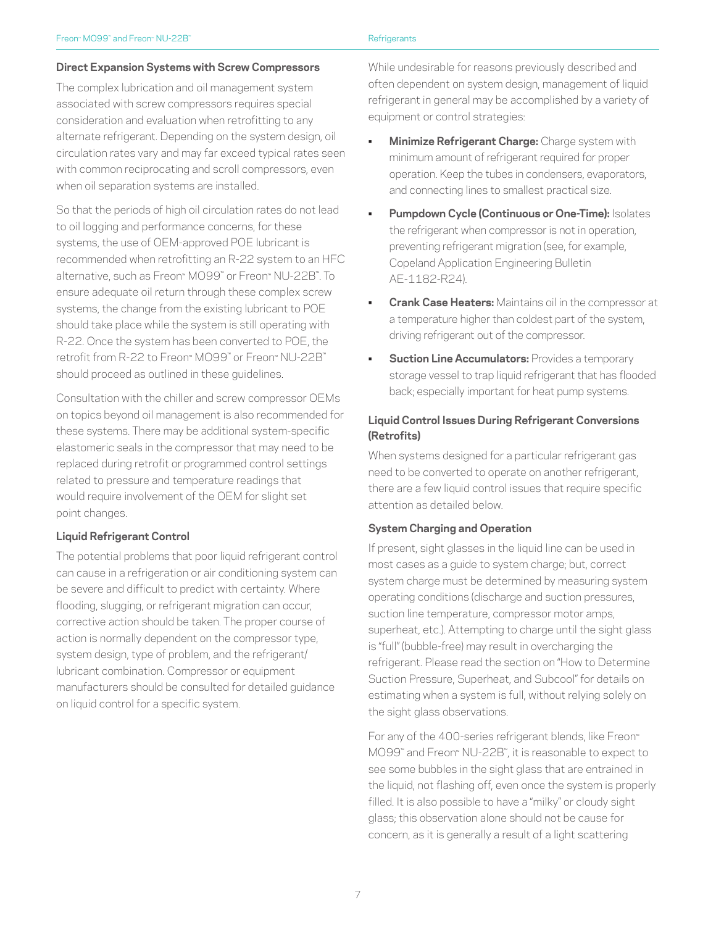#### **Direct Expansion Systems with Screw Compressors**

The complex lubrication and oil management system associated with screw compressors requires special consideration and evaluation when retrofitting to any alternate refrigerant. Depending on the system design, oil circulation rates vary and may far exceed typical rates seen with common reciprocating and scroll compressors, even when oil separation systems are installed.

So that the periods of high oil circulation rates do not lead to oil logging and performance concerns, for these systems, the use of OEM-approved POE lubricant is recommended when retrofitting an R-22 system to an HFC alternative, such as Freon™ MO99™ or Freon™ NU-22B™. To ensure adequate oil return through these complex screw systems, the change from the existing lubricant to POE should take place while the system is still operating with R-22. Once the system has been converted to POE, the retrofit from R-22 to Freon™ MO99™ or Freon™ NU-22B™ should proceed as outlined in these guidelines.

Consultation with the chiller and screw compressor OEMs on topics beyond oil management is also recommended for these systems. There may be additional system-specific elastomeric seals in the compressor that may need to be replaced during retrofit or programmed control settings related to pressure and temperature readings that would require involvement of the OEM for slight set point changes.

#### **Liquid Refrigerant Control**

The potential problems that poor liquid refrigerant control can cause in a refrigeration or air conditioning system can be severe and difficult to predict with certainty. Where flooding, slugging, or refrigerant migration can occur, corrective action should be taken. The proper course of action is normally dependent on the compressor type, system design, type of problem, and the refrigerant/ lubricant combination. Compressor or equipment manufacturers should be consulted for detailed guidance on liquid control for a specific system.

While undesirable for reasons previously described and often dependent on system design, management of liquid refrigerant in general may be accomplished by a variety of equipment or control strategies:

- **Minimize Refrigerant Charge:** Charge system with minimum amount of refrigerant required for proper operation. Keep the tubes in condensers, evaporators, and connecting lines to smallest practical size.
- **Pumpdown Cycle (Continuous or One-Time): Isolates** the refrigerant when compressor is not in operation, preventing refrigerant migration (see, for example, Copeland Application Engineering Bulletin AE-1182-R24).
- **Crank Case Heaters:** Maintains oil in the compressor at a temperature higher than coldest part of the system, driving refrigerant out of the compressor.
- **Suction Line Accumulators: Provides a temporary** storage vessel to trap liquid refrigerant that has flooded back; especially important for heat pump systems.

#### **Liquid Control Issues During Refrigerant Conversions (Retrofits)**

When systems designed for a particular refrigerant gas need to be converted to operate on another refrigerant, there are a few liquid control issues that require specific attention as detailed below.

#### **System Charging and Operation**

If present, sight glasses in the liquid line can be used in most cases as a guide to system charge; but, correct system charge must be determined by measuring system operating conditions (discharge and suction pressures, suction line temperature, compressor motor amps, superheat, etc.). Attempting to charge until the sight glass is "full" (bubble-free) may result in overcharging the refrigerant. Please read the section on "How to Determine Suction Pressure, Superheat, and Subcool" for details on estimating when a system is full, without relying solely on the sight glass observations.

For any of the 400-series refrigerant blends, like Freon™ MO99™ and Freon™ NU-22B™ , it is reasonable to expect to see some bubbles in the sight glass that are entrained in the liquid, not flashing off, even once the system is properly filled. It is also possible to have a "milky" or cloudy sight glass; this observation alone should not be cause for concern, as it is generally a result of a light scattering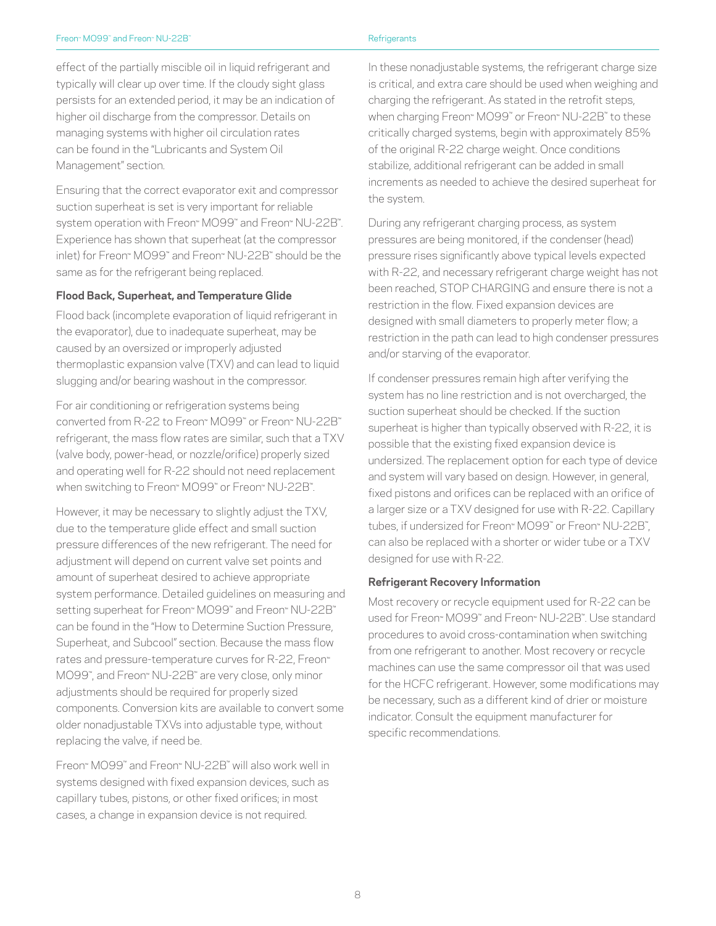effect of the partially miscible oil in liquid refrigerant and typically will clear up over time. If the cloudy sight glass persists for an extended period, it may be an indication of higher oil discharge from the compressor. Details on managing systems with higher oil circulation rates can be found in the "Lubricants and System Oil Management" section.

Ensuring that the correct evaporator exit and compressor suction superheat is set is very important for reliable system operation with Freon™ MO99™ and Freon™ NU-22B™ . Experience has shown that superheat (at the compressor inlet) for Freon™ MO99™ and Freon™ NU-22B™ should be the same as for the refrigerant being replaced.

#### **Flood Back, Superheat, and Temperature Glide**

Flood back (incomplete evaporation of liquid refrigerant in the evaporator), due to inadequate superheat, may be caused by an oversized or improperly adjusted thermoplastic expansion valve (TXV) and can lead to liquid slugging and/or bearing washout in the compressor.

For air conditioning or refrigeration systems being converted from R-22 to Freon™ MO99™ or Freon™ NU-22B™ refrigerant, the mass flow rates are similar, such that a TXV (valve body, power-head, or nozzle/orifice) properly sized and operating well for R-22 should not need replacement when switching to Freon™ MO99™ or Freon™ NU-22B™ .

However, it may be necessary to slightly adjust the TXV, due to the temperature glide effect and small suction pressure differences of the new refrigerant. The need for adjustment will depend on current valve set points and amount of superheat desired to achieve appropriate system performance. Detailed guidelines on measuring and setting superheat for Freon™ MO99™ and Freon™ NU-22B™ can be found in the "How to Determine Suction Pressure, Superheat, and Subcool" section. Because the mass flow rates and pressure-temperature curves for R-22, Freon™ MO99™ , and Freon™ NU-22B™ are very close, only minor adjustments should be required for properly sized components. Conversion kits are available to convert some older nonadjustable TXVs into adjustable type, without replacing the valve, if need be.

Freon™ MO99™ and Freon™ NU-22B™ will also work well in systems designed with fixed expansion devices, such as capillary tubes, pistons, or other fixed orifices; in most cases, a change in expansion device is not required.

In these nonadjustable systems, the refrigerant charge size is critical, and extra care should be used when weighing and charging the refrigerant. As stated in the retrofit steps, when charging Freon™ MO99™ or Freon™ NU-22B™ to these critically charged systems, begin with approximately 85% of the original R-22 charge weight. Once conditions stabilize, additional refrigerant can be added in small increments as needed to achieve the desired superheat for the system.

During any refrigerant charging process, as system pressures are being monitored, if the condenser (head) pressure rises significantly above typical levels expected with R-22, and necessary refrigerant charge weight has not been reached, STOP CHARGING and ensure there is not a restriction in the flow. Fixed expansion devices are designed with small diameters to properly meter flow; a restriction in the path can lead to high condenser pressures and/or starving of the evaporator.

If condenser pressures remain high after verifying the system has no line restriction and is not overcharged, the suction superheat should be checked. If the suction superheat is higher than typically observed with R-22, it is possible that the existing fixed expansion device is undersized. The replacement option for each type of device and system will vary based on design. However, in general, fixed pistons and orifices can be replaced with an orifice of a larger size or a TXV designed for use with R-22. Capillary tubes, if undersized for Freon™ MO99™ or Freon™ NU-22B™ , can also be replaced with a shorter or wider tube or a TXV designed for use with R-22.

#### **Refrigerant Recovery Information**

Most recovery or recycle equipment used for R-22 can be used for Freon™ MO99™ and Freon™ NU-22B™ . Use standard procedures to avoid cross-contamination when switching from one refrigerant to another. Most recovery or recycle machines can use the same compressor oil that was used for the HCFC refrigerant. However, some modifications may be necessary, such as a different kind of drier or moisture indicator. Consult the equipment manufacturer for specific recommendations.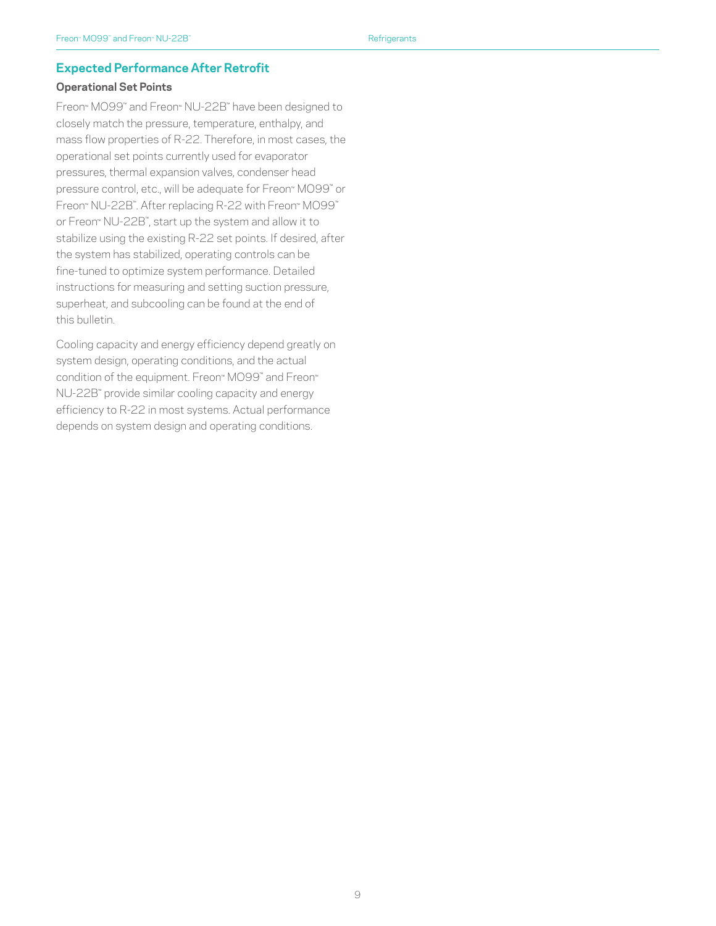#### **Expected Performance After Retrofit**

#### **Operational Set Points**

Freon™ MO99™ and Freon™ NU-22B™ have been designed to closely match the pressure, temperature, enthalpy, and mass flow properties of R-22. Therefore, in most cases, the operational set points currently used for evaporator pressures, thermal expansion valves, condenser head pressure control, etc., will be adequate for Freon™ MO99™ or Freon™ NU-22B™ . After replacing R-22 with Freon™ MO99™ or Freon™ NU-22B™ , start up the system and allow it to stabilize using the existing R-22 set points. If desired, after the system has stabilized, operating controls can be fine-tuned to optimize system performance. Detailed instructions for measuring and setting suction pressure, superheat, and subcooling can be found at the end of this bulletin.

Cooling capacity and energy efficiency depend greatly on system design, operating conditions, and the actual condition of the equipment. Freon™ MO99™ and Freon™ NU-22B™ provide similar cooling capacity and energy efficiency to R-22 in most systems. Actual performance depends on system design and operating conditions.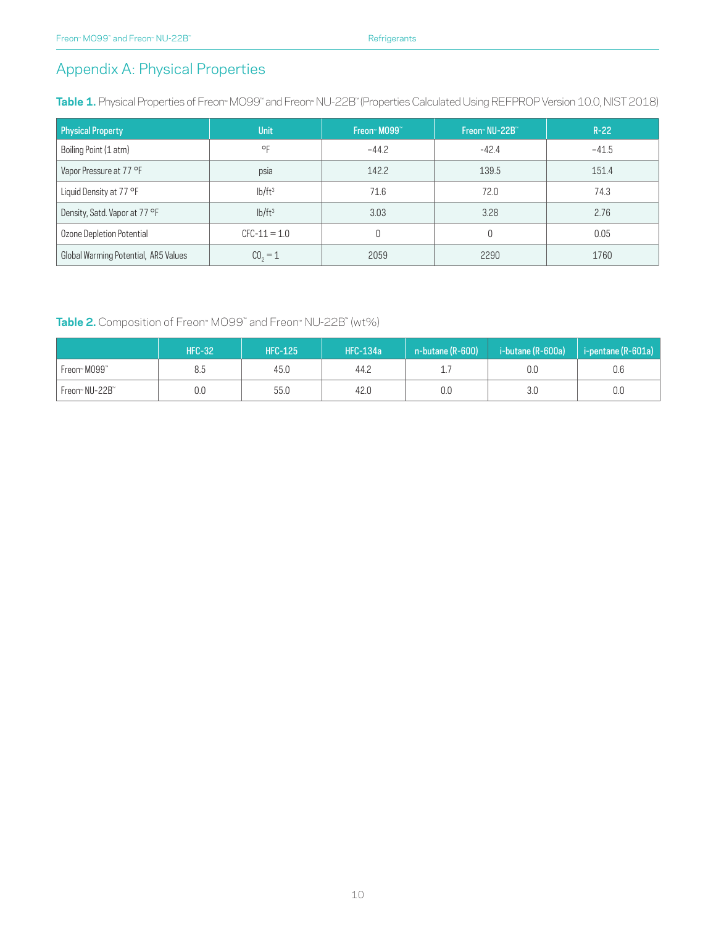# Appendix A: Physical Properties

**Table 1.** Physical Properties of Freon™ MO99™ and Freon™ NU-22B™ (Properties Calculated Using REFPROP Version 10.0, NIST 2018)

| <b>Physical Property</b>             | <b>Unit</b>        | Freon <sup>®</sup> M099 <sup>®</sup> | Freon <sup>™</sup> NU-22B <sup>™</sup> | $R-22$  |
|--------------------------------------|--------------------|--------------------------------------|----------------------------------------|---------|
| Boiling Point (1 atm)                | $\circ$ F          | $-44.2$                              | $-42.4$                                | $-41.5$ |
| Vapor Pressure at 77 °F              | psia               | 142.2                                | 139.5                                  | 151.4   |
| Liquid Density at 77 °F              | lb/ft <sup>3</sup> | 71.6                                 | 72.0                                   | 74.3    |
| Density, Satd. Vapor at 77 °F        | lb/ft <sup>3</sup> | 3.03                                 | 3.28                                   | 2.76    |
| Ozone Depletion Potential            | $CFC-11 = 1.0$     |                                      |                                        | 0.05    |
| Global Warming Potential, AR5 Values | $C_0 = 1$          | 2059                                 | 2290                                   | 1760    |

#### **Table 2.** Composition of Freon™ MO99™ and Freon™ NU-22B™ (wt%)

|                            | <b>HFC-32</b> | <b>HFC-125</b> | <b>HFC-134a</b> | $n$ -butane (R-600) | i -butane (R-600a) ' | i-pentane (R-601a) |
|----------------------------|---------------|----------------|-----------------|---------------------|----------------------|--------------------|
| Freon™ M099™               | 8.5           | 45.0           | 44.2            | ⊥.                  | 0.C                  | 0.6                |
| Freon <sup>™</sup> NU-22B™ | 0.0           | 55.0           | 42.0            | 0.0                 | 3 <sub>c</sub>       | 0.0                |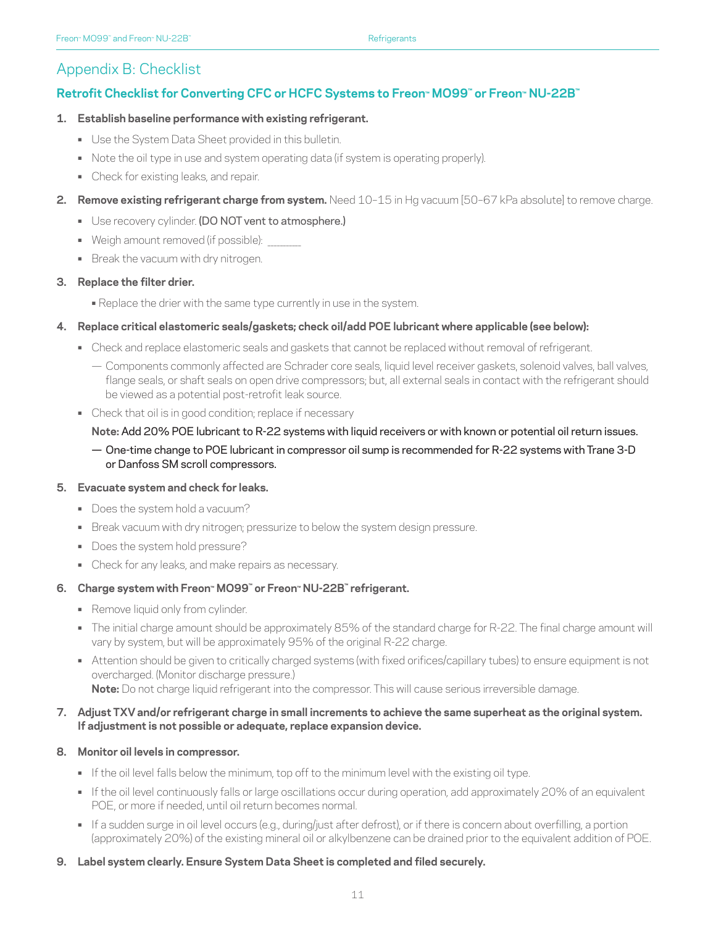# Appendix B: Checklist

# **Retrofit Checklist for Converting CFC or HCFC Systems to Freon™ MO99™ or Freon™ NU-22B™**

#### **1. Establish baseline performance with existing refrigerant.**

- **•** Use the System Data Sheet provided in this bulletin.
- **•** Note the oil type in use and system operating data (if system is operating properly).
- **•** Check for existing leaks, and repair.
- **2. Remove existing refrigerant charge from system.** Need 10–15 in Hg vacuum [50–67 kPa absolute] to remove charge.
	- **•** Use recovery cylinder. (DO NOT vent to atmosphere.)
	- Weigh amount removed (if possible):
	- **•** Break the vacuum with dry nitrogen.

#### **3. Replace the filter drier.**

- **•** Replace the drier with the same type currently in use in the system.
- **4. Replace critical elastomeric seals/gaskets; check oil/add POE lubricant where applicable (see below):**
	- **•** Check and replace elastomeric seals and gaskets that cannot be replaced without removal of refrigerant.
		- Components commonly affected are Schrader core seals, liquid level receiver gaskets, solenoid valves, ball valves, flange seals, or shaft seals on open drive compressors; but, all external seals in contact with the refrigerant should be viewed as a potential post-retrofit leak source.
	- **•** Check that oil is in good condition; replace if necessary

#### **Note:** Add 20% POE lubricant to R-22 systems with liquid receivers or with known or potential oil return issues.

— One-time change to POE lubricant in compressor oil sump is recommended for R-22 systems with Trane 3-D or Danfoss SM scroll compressors.

#### **5. Evacuate system and check for leaks.**

- **•** Does the system hold a vacuum?
- **•** Break vacuum with dry nitrogen; pressurize to below the system design pressure.
- **•** Does the system hold pressure?
- **•** Check for any leaks, and make repairs as necessary.

#### **6. Charge system with Freon™ MO99™ or Freon™ NU-22B™ refrigerant.**

- **•** Remove liquid only from cylinder.
- **•** The initial charge amount should be approximately 85% of the standard charge for R-22. The final charge amount will vary by system, but will be approximately 95% of the original R-22 charge.
- **•** Attention should be given to critically charged systems (with fixed orifices/capillary tubes) to ensure equipment is not overcharged. (Monitor discharge pressure.) Note: Do not charge liquid refrigerant into the compressor. This will cause serious irreversible damage.

#### **7. Adjust TXV and/or refrigerant charge in small increments to achieve the same superheat as the original system. If adjustment is not possible or adequate, replace expansion device.**

#### **8. Monitor oil levels in compressor.**

- **•** If the oil level falls below the minimum, top off to the minimum level with the existing oil type.
- **•** If the oil level continuously falls or large oscillations occur during operation, add approximately 20% of an equivalent POE, or more if needed, until oil return becomes normal.
- **•** If a sudden surge in oil level occurs (e.g., during/just after defrost), or if there is concern about overfilling, a portion (approximately 20%) of the existing mineral oil or alkylbenzene can be drained prior to the equivalent addition of POE.

#### **9. Label system clearly. Ensure System Data Sheet is completed and filed securely.**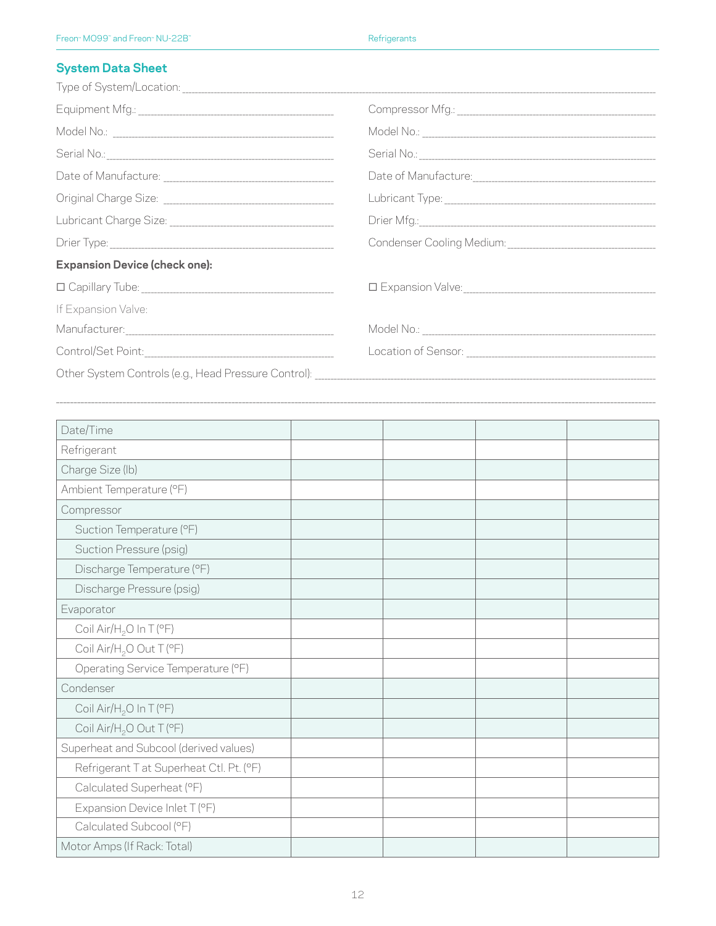# **System Data Sheet**

| <b>Expansion Device (check one):</b> |  |
|--------------------------------------|--|
|                                      |  |
| If Expansion Valve:                  |  |
|                                      |  |
|                                      |  |
|                                      |  |

 $\mathcal{L}_\text{max} = \mathcal{L}_\text{max} = \mathcal{L}_\text{max} = \mathcal{L}_\text{max} = \mathcal{L}_\text{max} = \mathcal{L}_\text{max} = \mathcal{L}_\text{max} = \mathcal{L}_\text{max} = \mathcal{L}_\text{max} = \mathcal{L}_\text{max} = \mathcal{L}_\text{max} = \mathcal{L}_\text{max} = \mathcal{L}_\text{max} = \mathcal{L}_\text{max} = \mathcal{L}_\text{max} = \mathcal{L}_\text{max} = \mathcal{L}_\text{max} = \mathcal{L}_\text{max} = \mathcal{$ 

| Date/Time                                |  |  |
|------------------------------------------|--|--|
| Refrigerant                              |  |  |
| Charge Size (lb)                         |  |  |
| Ambient Temperature (°F)                 |  |  |
| Compressor                               |  |  |
| Suction Temperature (°F)                 |  |  |
| Suction Pressure (psig)                  |  |  |
| Discharge Temperature (°F)               |  |  |
| Discharge Pressure (psig)                |  |  |
| Evaporator                               |  |  |
| Coil Air/H <sub>2</sub> O In T (°F)      |  |  |
| Coil Air/H <sub>2</sub> O Out T (°F)     |  |  |
| Operating Service Temperature (°F)       |  |  |
| Condenser                                |  |  |
| Coil Air/H <sub>2</sub> O In T (°F)      |  |  |
| Coil Air/H <sub>2</sub> O Out T (°F)     |  |  |
| Superheat and Subcool (derived values)   |  |  |
| Refrigerant T at Superheat Ctl. Pt. (°F) |  |  |
| Calculated Superheat (°F)                |  |  |
| Expansion Device Inlet T (°F)            |  |  |
| Calculated Subcool (°F)                  |  |  |
| Motor Amps (If Rack: Total)              |  |  |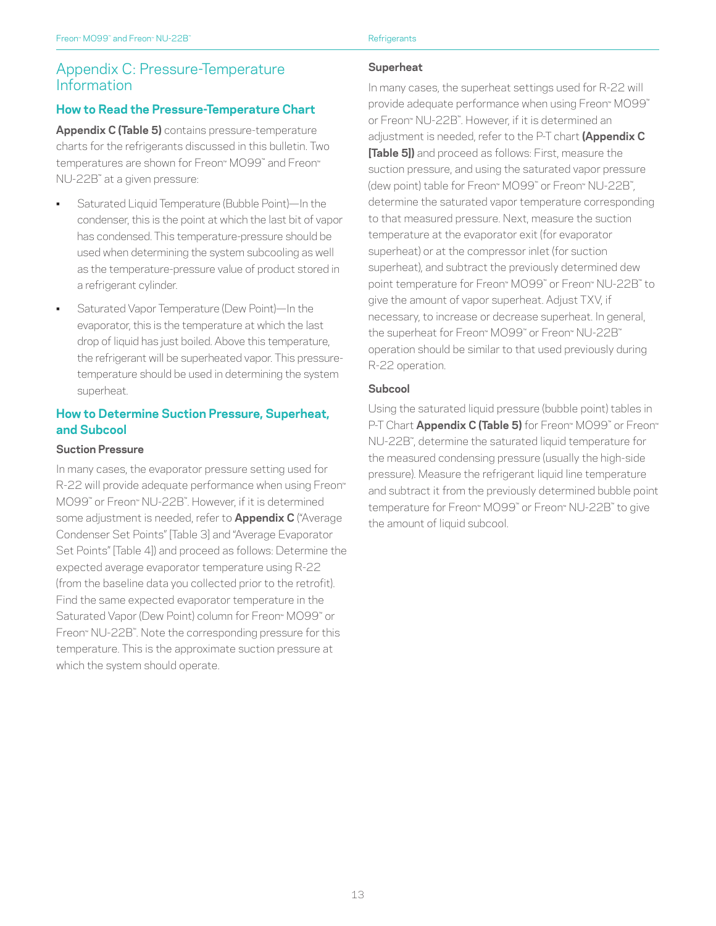# Appendix C: Pressure-Temperature Information

#### **How to Read the Pressure-Temperature Chart**

**Appendix C (Table 5)** contains pressure-temperature charts for the refrigerants discussed in this bulletin. Two temperatures are shown for Freon™ MO99™ and Freon™ NU-22B™ at a given pressure:

- Saturated Liquid Temperature (Bubble Point)—In the condenser, this is the point at which the last bit of vapor has condensed. This temperature-pressure should be used when determining the system subcooling as well as the temperature-pressure value of product stored in a refrigerant cylinder.
- Saturated Vapor Temperature (Dew Point)—In the evaporator, this is the temperature at which the last drop of liquid has just boiled. Above this temperature, the refrigerant will be superheated vapor. This pressuretemperature should be used in determining the system superheat.

#### **How to Determine Suction Pressure, Superheat, and Subcool**

#### **Suction Pressure**

In many cases, the evaporator pressure setting used for R-22 will provide adequate performance when using Freon<sup>™</sup> MO99™ or Freon™ NU-22B™ . However, if it is determined some adjustment is needed, refer to **Appendix C** ("Average Condenser Set Points" [Table 3] and "Average Evaporator Set Points" [Table 4]) and proceed as follows: Determine the expected average evaporator temperature using R-22 (from the baseline data you collected prior to the retrofit). Find the same expected evaporator temperature in the Saturated Vapor (Dew Point) column for Freon™ MO99™ or Freon™ NU-22B™ . Note the corresponding pressure for this temperature. This is the approximate suction pressure at which the system should operate.

#### **Superheat**

In many cases, the superheat settings used for R-22 will provide adequate performance when using Freon™ MO99™ or Freon™ NU-22B™ . However, if it is determined an adjustment is needed, refer to the P-T chart **(Appendix C [Table 5])** and proceed as follows: First, measure the suction pressure, and using the saturated vapor pressure (dew point) table for Freon™ MO99™ or Freon™ NU-22B™, determine the saturated vapor temperature corresponding to that measured pressure. Next, measure the suction temperature at the evaporator exit (for evaporator superheat) or at the compressor inlet (for suction superheat), and subtract the previously determined dew point temperature for Freon™ MO99™ or Freon™ NU-22B™ to give the amount of vapor superheat. Adjust TXV, if necessary, to increase or decrease superheat. In general, the superheat for Freon™ MO99™ or Freon™ NU-22B™ operation should be similar to that used previously during R-22 operation.

#### **Subcool**

Using the saturated liquid pressure (bubble point) tables in **P-T Chart <b>Appendix C (Table 5)** for Freon™ MO99™ or Freon™ NU-22B™ , determine the saturated liquid temperature for the measured condensing pressure (usually the high-side pressure). Measure the refrigerant liquid line temperature and subtract it from the previously determined bubble point temperature for Freon™ MO99™ or Freon™ NU-22B™ to give the amount of liquid subcool.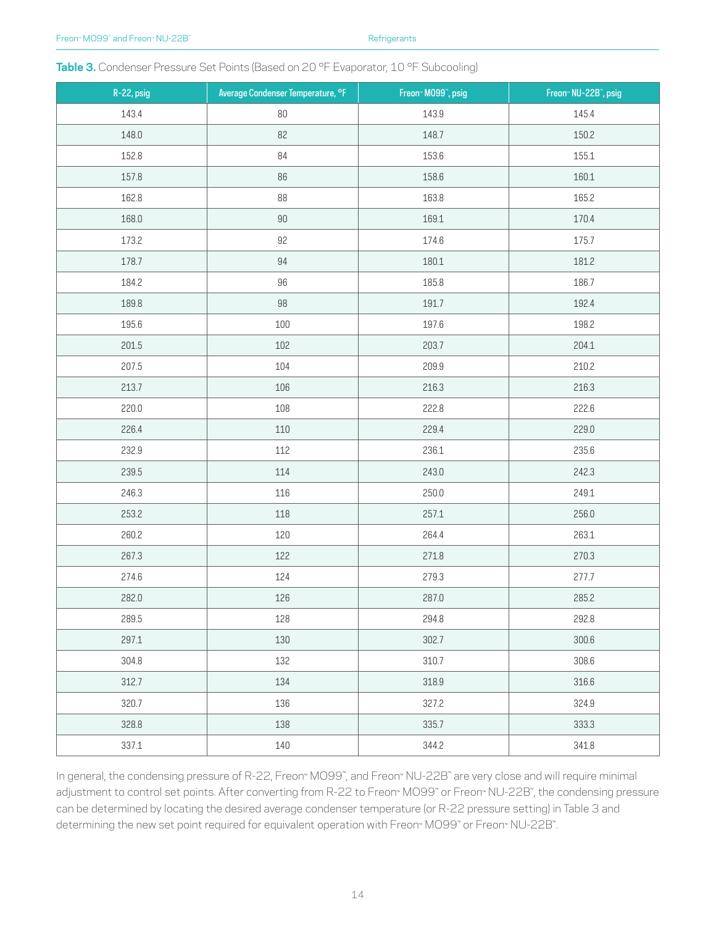#### Table 3. Condenser Pressure Set Points (Based on 20 °F Evaporator, 10 °F Subcooling)

| $R-22$ , psig | Average Condenser Temperature, °F | Freon <sup>®</sup> M099 <sup>®</sup> , psig | Freon <sup>®</sup> NU-22B <sup>®</sup> , psig |
|---------------|-----------------------------------|---------------------------------------------|-----------------------------------------------|
| 143.4         | $80\,$                            | 143.9                                       | 145.4                                         |
| 148.0         | 82                                | 148.7                                       | 150.2                                         |
| 152.8         | 84                                | 153.6                                       | 155.1                                         |
| 157.8         | 86                                | 158.6                                       | 160.1                                         |
| 162.8         | 88                                | 163.8                                       | 165.2                                         |
| 168.0         | $90\,$                            | 169.1                                       | 170.4                                         |
| 173.2         | 92                                | 174.6                                       | 175.7                                         |
| 178.7         | 94                                | 180.1                                       | 181.2                                         |
| 184.2         | 96                                | 185.8                                       | 186.7                                         |
| 189.8         | $98\,$                            | 191.7                                       | 192.4                                         |
| 195.6         | 100                               | 197.6                                       | 198.2                                         |
| 201.5         | 102                               | 203.7                                       | 204.1                                         |
| 207.5         | 104                               | 209.9                                       | 210.2                                         |
| 213.7         | 106                               | 216.3                                       | 216.3                                         |
| 220.0         | 108                               | 222.8                                       | 222.6                                         |
| 226.4         | 110                               | 229.4                                       | 229.0                                         |
| 232.9         | 112                               | 236.1                                       | 235.6                                         |
| 239.5         | 114                               | 243.0                                       | 242.3                                         |
| 246.3         | 116                               | 250.0                                       | 249.1                                         |
| 253.2         | 118                               | 257.1                                       | 256.0                                         |
| 260.2         | 120                               | 264.4                                       | 263.1                                         |
| 267.3         | 122                               | 271.8                                       | 270.3                                         |
| 274.6         | 124                               | 279.3                                       | 277.7                                         |
| 282.0         | 126                               | 287.0                                       | 285.2                                         |
| 289.5         | 128                               | 294.8                                       | 292.8                                         |
| 297.1         | 130                               | 302.7                                       | 300.6                                         |
| 304.8         | 132                               | 310.7                                       | 308.6                                         |
| 312.7         | 134                               | 318.9                                       | 316.6                                         |
| 320.7         | 136                               | 327.2                                       | 324.9                                         |
| 328.8         | 138                               | 335.7                                       | 333.3                                         |
| 337.1         | 140                               | 344.2                                       | 341.8                                         |

In general, the condensing pressure of R-22, Freon™ MO99™ , and Freon™ NU-22B™ are very close and will require minimal adjustment to control set points. After converting from R-22 to Freon™ MO99™ or Freon™ NU-22B™, the condensing pressure can be determined by locating the desired average condenser temperature (or R-22 pressure setting) in Table 3 and determining the new set point required for equivalent operation with Freon™ MO99™ or Freon™ NU-22B™ .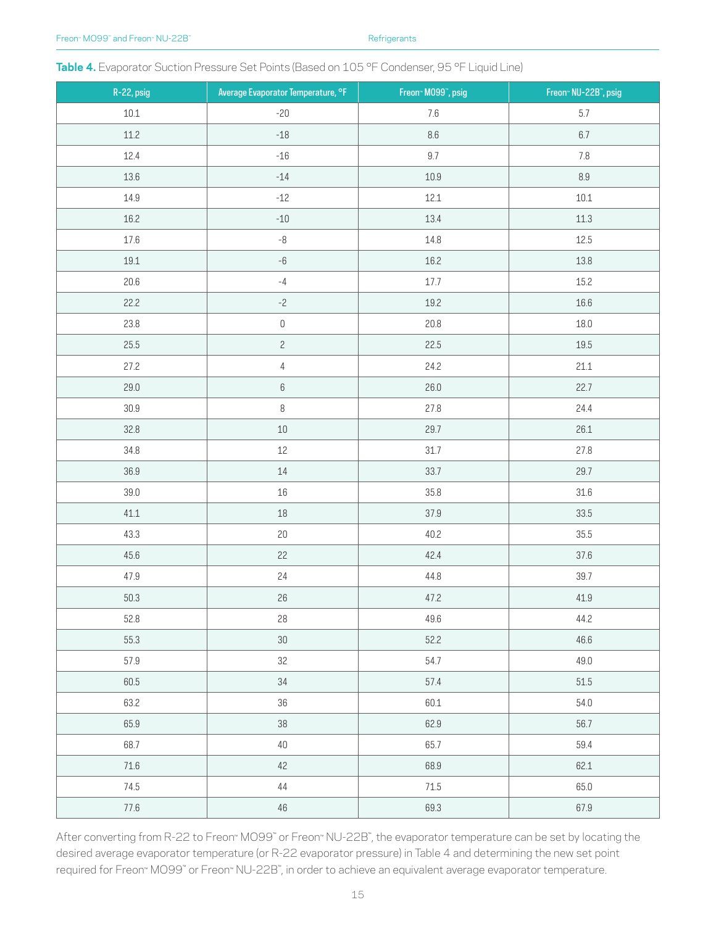|  |  |  |  | Table 4. Evaporator Suction Pressure Set Points (Based on 105 °F Condenser, 95 °F Liquid Line) |
|--|--|--|--|------------------------------------------------------------------------------------------------|
|--|--|--|--|------------------------------------------------------------------------------------------------|

| R-22, psig | Average Evaporator Temperature, °F | Freon <sup>®</sup> M099 <sup>®</sup> , psig | Freon <sup>®</sup> NU-22B <sup>®</sup> , psig |
|------------|------------------------------------|---------------------------------------------|-----------------------------------------------|
| $10.1\,$   | $-20$                              | 7.6                                         | 5.7                                           |
| $11.2\,$   | $-18$                              | 8.6                                         | $6.7\,$                                       |
| 12.4       | $-16$                              | 9.7                                         | $7.8\,$                                       |
| 13.6       | $-14$                              | $10.9\,$                                    | $\,8.9$                                       |
| 14.9       | $-12$                              | 12.1                                        | $10.1\,$                                      |
| 16.2       | $-10$                              | 13.4                                        | 11.3                                          |
| $17.6\,$   | $^{\rm -8}$                        | 14.8                                        | 12.5                                          |
| $19.1\,$   | $^{\rm -6}$                        | 16.2                                        | 13.8                                          |
| 20.6       | $-4$                               | 17.7                                        | 15.2                                          |
| 22.2       | $-2$                               | 19.2                                        | 16.6                                          |
| 23.8       | $\mathsf{O}\xspace$                | 20.8                                        | 18.0                                          |
| 25.5       | $\overline{c}$                     | 22.5                                        | 19.5                                          |
| 27.2       | $\overline{4}$                     | 24.2                                        | 21.1                                          |
| 29.0       | $6\,$                              | 26.0                                        | 22.7                                          |
| 30.9       | $\, 8$                             | 27.8                                        | 24.4                                          |
| 32.8       | $10\,$                             | 29.7                                        | 26.1                                          |
| 34.8       | $12\,$                             | 31.7                                        | 27.8                                          |
| 36.9       | $14\,$                             | 33.7                                        | 29.7                                          |
| 39.0       | $16\,$                             | 35.8                                        | 31.6                                          |
| 41.1       | $18\,$                             | 37.9                                        | 33.5                                          |
| 43.3       | $20\,$                             | 40.2                                        | 35.5                                          |
| 45.6       | 22                                 | 42.4                                        | 37.6                                          |
| 47.9       | 24                                 | 44.8                                        | 39.7                                          |
| $50.3\,$   | 26                                 | 47.2                                        | 41.9                                          |
| 52.8       | 28                                 | 49.6                                        | 44.2                                          |
| 55.3       | $30\,$                             | 52.2                                        | 46.6                                          |
| 57.9       | 32                                 | 54.7                                        | 49.0                                          |
| 60.5       | $34\,$                             | 57.4                                        | 51.5                                          |
| 63.2       | 36                                 | 60.1                                        | 54.0                                          |
| 65.9       | $38\,$                             | 62.9                                        | 56.7                                          |
| 68.7       | $40\,$                             | 65.7                                        | 59.4                                          |
| $71.6\,$   | $42\,$                             | 68.9                                        | 62.1                                          |
| 74.5       | $44\,$                             | 71.5                                        | 65.0                                          |
| $77.6\,$   | $46\,$                             | 69.3                                        | 67.9                                          |

After converting from R-22 to Freon™ MO99™ or Freon™ NU-22B™, the evaporator temperature can be set by locating the desired average evaporator temperature (or R-22 evaporator pressure) in Table 4 and determining the new set point required for Freon™ MO99" or Freon™ NU-22B", in order to achieve an equivalent average evaporator temperature.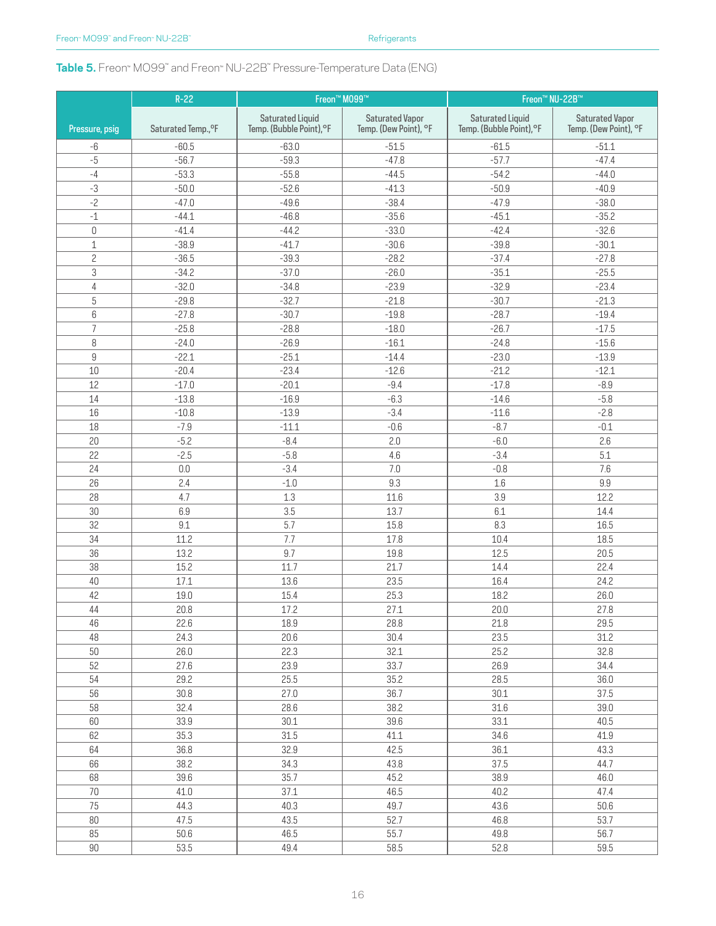### **Table 5.** Freon™ MO99™ and Freon™ NU-22B™ Pressure-Temperature Data (ENG)

|                           | $R-22$              | Freon™ M099™             |                        | Freon <sup>™</sup> NU-22B™ |                        |  |
|---------------------------|---------------------|--------------------------|------------------------|----------------------------|------------------------|--|
|                           |                     | <b>Saturated Liquid</b>  | <b>Saturated Vapor</b> | <b>Saturated Liquid</b>    | <b>Saturated Vapor</b> |  |
| Pressure, psig            | Saturated Temp., °F | Temp. (Bubble Point), °F | Temp. (Dew Point), °F  | Temp. (Bubble Point), °F   | Temp. (Dew Point), °F  |  |
| $-6$                      | $-60.5$             | $-63.0$                  | $-51.5$                | $-61.5$                    | $-51.1$                |  |
| $-5$                      | $-56.7$             | $-59.3$                  | $-47.8$                | $-57.7$                    | $-47.4$                |  |
| $-4$                      | $-53.3$             | $-55.8$                  | $-44.5$                | $-54.2$                    | $-44.0$                |  |
| $-3$                      | $-50.0$             | $-52.6$                  | $-41.3$                | $-50.9$                    | $-40.9$                |  |
| $-2$                      | $-47.0$             | $-49.6$                  | $-38.4$                | $-47.9$                    | $-38.0$                |  |
| $^{\mbox{{\small -1}}}$   | $-44.1$             | $-46.8$                  | $-35.6$                | $-45.1$                    | $-35.2$                |  |
| $\mathbb O$               | $-41.4$             | $-44.2$                  | $-33.0$                | $-42.4$                    | $-32.6$                |  |
| $\mathbf{1}$              | $-38.9$             | $-41.7$                  | $-30.6$                | $-39.8$                    | $-30.1$                |  |
| $\overline{c}$            | $-36.5$             | $-39.3$                  | $-28.2$                | $-37.4$                    | $-27.8$                |  |
| $\ensuremath{\mathsf{3}}$ | $-34.2$             | $-37.0$                  | $-26.0$                | $-35.1$                    | $-25.5$                |  |
| $\sqrt{4}$                | $-32.0$             | $-34.8$                  | $-23.9$                | $-32.9$                    | $-23.4$                |  |
| $5\,$                     | $-29.8$             | $-32.7$                  | $-21.8$                | $-30.7$                    | $-21.3$                |  |
| $6\,$                     | $-27.8$             | $-30.7$                  | $-19.8$                | $-28.7$                    | $-19.4$                |  |
| $\overline{7}$            | $-25.8$             | $-28.8$                  | $-18.0$                | $-26.7$                    | $-17.5$                |  |
| 8                         | $-24.0$             | $-26.9$                  | $-16.1$                | $-24.8$                    | $-15.6$                |  |
| $\boldsymbol{9}$          | $-22.1$             | $-25.1$                  | $-14.4$                | $-23.0$                    | $-13.9$                |  |
| 10                        | $-20.4$             | $-23.4$                  | $-12.6$                | $-21.2$                    | $-12.1$                |  |
| 12                        | $-17.0$             | $-20.1$                  | $-9.4$                 | $-17.8$                    | $-8.9$                 |  |
| 14                        | $-13.8$             | $-16.9$                  | $-6.3$                 | $-14.6$                    | $-5.8$                 |  |
| 16                        | $-10.8$             | $-13.9$                  | $-3.4$                 | $-11.6$                    | $-2.8$                 |  |
| 18                        | $-7.9$              | $-11.1$                  | $-0.6$                 | $-8.7$                     | $-0.1$                 |  |
| 20                        | $-5.2$              | $-8.4$                   | 2.0                    | $-6.0$                     | 2.6                    |  |
| 22                        | $-2.5$              | $-5.8$                   | 4.6                    | $-3.4$                     | 5.1                    |  |
| 24                        | 0.0                 | $-3.4$                   | 7.0                    | $-0.8$                     | 7.6                    |  |
| 26                        | 2.4                 | $-1.0$                   | 9.3                    | $1.6\,$                    | $9.9\,$                |  |
| 28                        | 4.7                 | 1.3                      | 11.6                   | 3.9                        | 12.2                   |  |
| 30                        | 6.9                 | 3.5                      | 13.7                   | 6.1                        | 14.4                   |  |
| 32                        | 9.1                 | 5.7                      | 15.8                   | 8.3                        | 16.5                   |  |
| 34                        | 11.2                | 7.7                      | 17.8                   | 10.4                       | 18.5                   |  |
| 36                        | 13.2                | 9.7                      | 19.8                   | 12.5                       | 20.5                   |  |
| 38                        | 15.2                | 11.7                     | 21.7                   | 14.4                       | 22.4                   |  |
| 40                        | 17.1                | 13.6                     | 23.5                   | 16.4                       | 24.2                   |  |
| 42                        | 19.0                | 15.4                     | 25.3                   | 18.2                       | 26.0                   |  |
| 44                        | 20.8                | 17.2                     | 27.1                   | 20.0                       | 27.8                   |  |
| 46                        | 22.6                | 18.9                     | 28.8                   | 21.8                       | 29.5                   |  |
| 48                        | 24.3                | 20.6                     | 30.4                   | 23.5                       | 31.2                   |  |
| 50                        | 26.0                | 22.3                     | 32.1                   | 25.2                       | 32.8                   |  |
| 52                        | 27.6                | 23.9                     | 33.7                   | 26.9                       | 34.4                   |  |
| 54                        | 29.2                | 25.5                     | 35.2                   | 28.5                       | 36.0                   |  |
| 56                        | 30.8                | 27.0                     | 36.7                   | 30.1                       | 37.5                   |  |
| 58                        | 32.4                | 28.6                     | 38.2                   | 31.6                       | 39.0                   |  |
| 60                        | 33.9                | 30.1                     | 39.6                   | 33.1                       | 40.5                   |  |
| 62                        | 35.3                | 31.5                     | 41.1                   | 34.6                       | 41.9                   |  |
| 64                        | 36.8                | 32.9                     | 42.5                   | 36.1                       | 43.3                   |  |
| 66                        | 38.2                | 34.3                     | 43.8                   | 37.5                       | 44.7                   |  |
| 68                        | 39.6                | 35.7                     | 45.2                   | 38.9                       | 46.0                   |  |
| $70$                      | 41.0                | 37.1                     | 46.5                   | 40.2                       | 47.4                   |  |
| 75                        | 44.3                | 40.3                     | 49.7                   | 43.6                       | 50.6                   |  |
| $80\,$                    | 47.5                | 43.5                     | 52.7                   | 46.8                       | 53.7                   |  |
| 85                        | 50.6                | 46.5                     | 55.7                   | 49.8                       | 56.7                   |  |
| 90                        | 53.5                | 49.4                     | 58.5                   | 52.8                       | 59.5                   |  |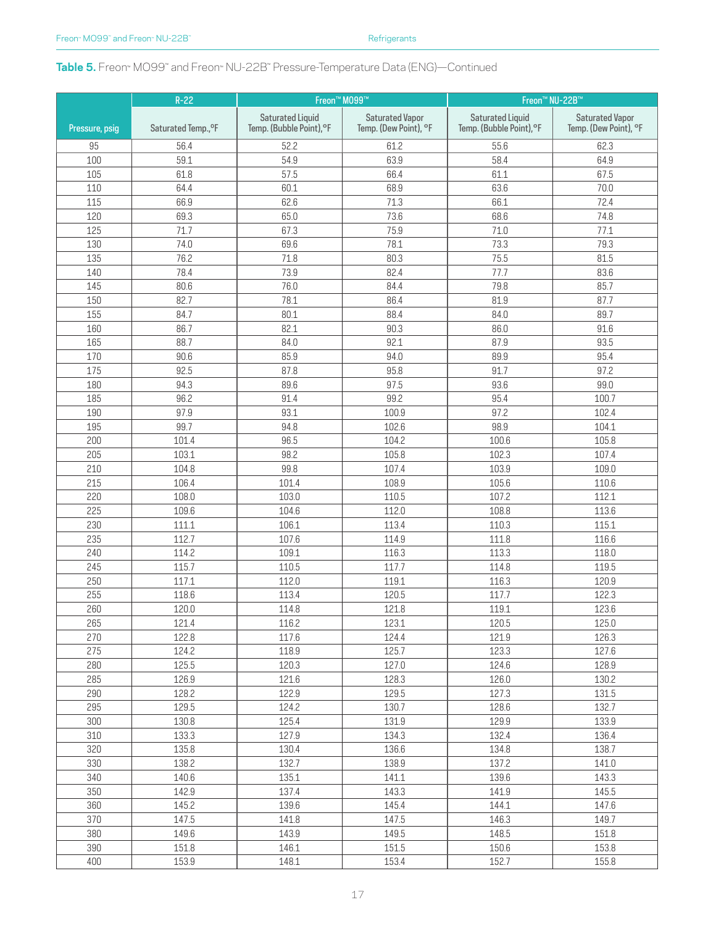### **Table 5.** Freon<sub>™</sub> MO99™ and Freon™ NU-22B™ Pressure-Temperature Data (ENG)—Continued

|                | $R-22$              | Freon™ M099™                                        |                                                 | Freon <sup>™</sup> NU-22B™                          |                                                 |  |
|----------------|---------------------|-----------------------------------------------------|-------------------------------------------------|-----------------------------------------------------|-------------------------------------------------|--|
| Pressure, psig | Saturated Temp., °F | <b>Saturated Liquid</b><br>Temp. (Bubble Point), °F | <b>Saturated Vapor</b><br>Temp. (Dew Point), °F | <b>Saturated Liquid</b><br>Temp. (Bubble Point), °F | <b>Saturated Vapor</b><br>Temp. (Dew Point), °F |  |
| 95             | 56.4                | 52.2                                                | 61.2                                            | 55.6                                                | 62.3                                            |  |
| 100            | 59.1                | 54.9                                                | 63.9                                            | 58.4                                                | 64.9                                            |  |
| 105            | 61.8                | 57.5                                                | 66.4                                            | 61.1                                                | 67.5                                            |  |
| 110            | 64.4                | 60.1                                                | 68.9                                            | 63.6                                                | 70.0                                            |  |
| 115            | 66.9                | 62.6                                                | 71.3                                            | 66.1                                                | 72.4                                            |  |
| 120            | 69.3                | 65.0                                                | 73.6                                            | 68.6                                                | 74.8                                            |  |
| 125            | 71.7                | 67.3                                                | 75.9                                            | 71.0                                                | 77.1                                            |  |
| 130            | 74.0                | 69.6                                                | 78.1                                            | 73.3                                                | 79.3                                            |  |
| 135            | 76.2                | 71.8                                                | 80.3                                            | 75.5                                                | 81.5                                            |  |
| 140            | 78.4                | 73.9                                                | 82.4                                            | 77.7                                                | 83.6                                            |  |
| 145            | 80.6                | 76.0                                                | 84.4                                            | 79.8                                                | 85.7                                            |  |
| 150            | 82.7                | 78.1                                                | 86.4                                            | 81.9                                                | 87.7                                            |  |
| 155            | 84.7                | 80.1                                                | 88.4                                            | 84.0                                                | 89.7                                            |  |
| 160            | 86.7                | 82.1                                                | 90.3                                            | 86.0                                                | 91.6                                            |  |
| 165            | 88.7                | 84.0                                                | 92.1                                            | 87.9                                                | 93.5                                            |  |
| 170            | 90.6                | 85.9                                                | 94.0                                            | 89.9                                                | 95.4                                            |  |
| 175            | 92.5                | 87.8                                                | 95.8                                            | 91.7                                                | 97.2                                            |  |
| 180            | 94.3                | 89.6                                                | 97.5                                            | 93.6                                                | 99.0                                            |  |
| 185            | 96.2                | 91.4                                                | 99.2                                            | 95.4                                                | 100.7                                           |  |
| 190            | 97.9                | 93.1                                                | 100.9                                           | 97.2                                                | 102.4                                           |  |
| 195            | 99.7                | 94.8                                                | 102.6                                           | 98.9                                                | 104.1                                           |  |
| 200            | 101.4               | 96.5                                                | 104.2                                           | 100.6                                               | 105.8                                           |  |
|                | 103.1               | 98.2                                                | 105.8                                           |                                                     | 107.4                                           |  |
| 205            |                     |                                                     |                                                 | 102.3                                               |                                                 |  |
| 210<br>215     | 104.8<br>106.4      | 99.8                                                | 107.4<br>108.9                                  | 103.9                                               | 109.0                                           |  |
| 220            | 108.0               | 101.4                                               |                                                 | 105.6                                               | 110.6<br>112.1                                  |  |
| 225            |                     | 103.0                                               | 110.5                                           | 107.2                                               |                                                 |  |
|                | 109.6               | 104.6                                               | 112.0                                           | 108.8                                               | 113.6                                           |  |
| 230            | 111.1               | 106.1                                               | 113.4                                           | 110.3                                               | 115.1                                           |  |
| 235            | 112.7               | 107.6                                               | 114.9                                           | 111.8                                               | 116.6                                           |  |
| 240            | 114.2               | 109.1                                               | 116.3                                           | 113.3                                               | 118.0                                           |  |
| 245            | 115.7               | 110.5                                               | 117.7                                           | 114.8                                               | 119.5                                           |  |
| 250            | 117.1               | 112.0                                               | 119.1                                           | 116.3                                               | 120.9                                           |  |
| 255            | 118.6               | 113.4                                               | 120.5                                           | 117.7                                               | 122.3                                           |  |
| 260            | 120.0               | 114.8                                               | 121.8                                           | 119.1                                               | 123.6                                           |  |
| 265            | 121.4               | 116.2                                               | 123.1                                           | 120.5                                               | 125.0                                           |  |
| 270            | 122.8               | 117.6                                               | 124.4                                           | 121.9                                               | 126.3                                           |  |
| 275            | 124.2               | 118.9                                               | 125.7                                           | 123.3                                               | 127.6                                           |  |
| 280            | 125.5               | 120.3                                               | 127.0                                           | 124.6                                               | 128.9                                           |  |
| 285            | 126.9               | 121.6                                               | 128.3                                           | 126.0                                               | 130.2                                           |  |
| 290            | 128.2               | 122.9                                               | 129.5                                           | 127.3                                               | 131.5                                           |  |
| 295            | 129.5               | 124.2                                               | 130.7                                           | 128.6                                               | 132.7                                           |  |
| 300            | 130.8               | 125.4                                               | 131.9                                           | 129.9                                               | 133.9                                           |  |
| 310            | 133.3               | 127.9                                               | 134.3                                           | 132.4                                               | 136.4                                           |  |
| 320            | 135.8               | 130.4                                               | 136.6                                           | 134.8                                               | 138.7                                           |  |
| 330            | 138.2               | 132.7                                               | 138.9                                           | 137.2                                               | 141.0                                           |  |
| 340            | 140.6               | 135.1                                               | 141.1                                           | 139.6                                               | 143.3                                           |  |
| 350            | 142.9               | 137.4                                               | 143.3                                           | 141.9                                               | 145.5                                           |  |
| 360            | 145.2               | 139.6                                               | 145.4                                           | 144.1                                               | 147.6                                           |  |
| 370            | 147.5               | 141.8                                               | 147.5                                           | 146.3                                               | 149.7                                           |  |
| 380            | 149.6               | 143.9                                               | 149.5                                           | 148.5                                               | 151.8                                           |  |
| 390            | 151.8               | 146.1                                               | 151.5                                           | 150.6                                               | 153.8                                           |  |
| 400            | 153.9               | 148.1                                               | 153.4                                           | 152.7                                               | 155.8                                           |  |